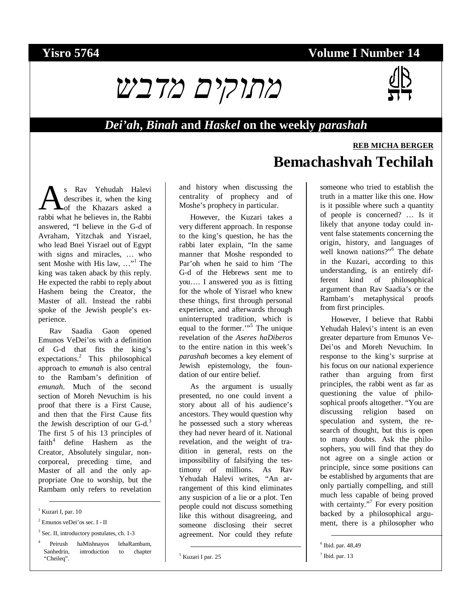## **Yisro 5764 Volume I Number 14**

**Bemachashvah Techilah** 



## *Dei'ah***,** *Binah* **and** *Haskel* **on the weekly** *parashah*

### s Rav Yehudah Halevi describes it, when the king of the Khazars asked a S Rav Yehudah Halevi<br>describes it, when the king<br>rabbi what he believes in, the Rabbi answered, "I believe in the G-d of Avraham, Yitzchak and Yisrael, who lead Bnei Yisrael out of Egypt with signs and miracles, … who sent Moshe with His law, ..."<sup>1</sup> The king was taken aback by this reply. He expected the rabbi to reply about Hashem being the Creator, the Master of all. Instead the rabbi spoke of the Jewish people's experience.

Rav Saadia Gaon opened Emunos VeDei'os with a definition of G-d that fits the king's expectations.<sup>2</sup> This philosophical approach to *emunah* is also central to the Rambam's definition of *emunah*. Much of the second section of Moreh Nevuchim is his proof that there is a First Cause, and then that the First Cause fits the Jewish description of our  $G-d<sup>3</sup>$ The first 5 of his 13 principles of faith<sup>4</sup> define Hashem as the Creator, Absolutely singular, noncorporeal, preceding time, and Master of all and the only appropriate One to worship, but the Rambam only refers to revelation

# 1 Kuzari I, par. 10

2 Emunos veDei'os sec. I - II

3 Sec. II, introductory postulates, ch. 1-3

4 Peirush haMishnayos lehaRambam, Sanhedrin, introduction to chapter "Cheileq".

and history when discussing the centrality of prophecy and of Moshe's prophecy in particular.

However, the Kuzari takes a very different approach. In response to the king's question, he has the rabbi later explain, "In the same manner that Moshe responded to Par'oh when he said to him 'The G-d of the Hebrews sent me to you…. I answered you as is fitting for the whole of Yisrael who knew these things, first through personal experience, and afterwards through uninterrupted tradition, which is equal to the former."<sup>5</sup> The unique revelation of the *Aseres haDiberos* to the entire nation in this week's *parashah* becomes a key element of Jewish epistemology, the foundation of our entire belief.

As the argument is usually presented, no one could invent a story about all of his audience's ancestors. They would question why he possessed such a story whereas they had never heard of it. National revelation, and the weight of tradition in general, rests on the impossibility of falsifying the testimony of millions. As Rav Yehudah Halevi writes, "An arrangement of this kind eliminates any suspicion of a lie or a plot. Ten people could not discuss something like this without disagreeing, and someone disclosing their secret agreement. Nor could they refute someone who tried to establish the truth in a matter like this one. How is it possible where such a quantity of people is concerned? … Is it likely that anyone today could invent false statements concerning the origin, history, and languages of well known nations?"<sup>6</sup> The debate in the Kuzari, according to this understanding, is an entirely different kind of philosophical argument than Rav Saadia's or the Rambam's metaphysical proofs from first principles.

However, I believe that Rabbi Yehudah Halevi's intent is an even greater departure from Emunos Ve-Dei'os and Moreh Nevuchim. In response to the king's surprise at his focus on our national experience rather than arguing from first principles, the rabbi went as far as questioning the value of philosophical proofs altogether. "You are discussing religion based on speculation and system, the research of thought, but this is open to many doubts. Ask the philosophers, you will find that they do not agree on a single action or principle, since some positions can be established by arguments that are only partially compelling, and still much less capable of being proved with certainty."<sup>7</sup> For every position backed by a philosophical argument, there is a philosopher who



**REB MICHA BERGER**

 <sup>5</sup> Kuzari I par. 25

 <sup>6</sup> Ibid. par. 48,49

 $<sup>7</sup>$  Ibid. par. 13</sup>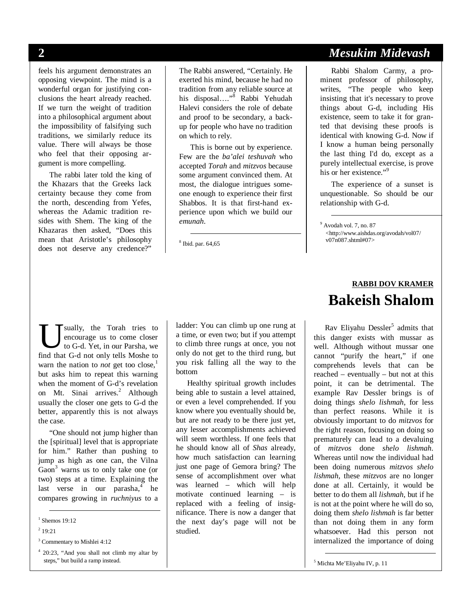feels his argument demonstrates an opposing viewpoint. The mind is a wonderful organ for justifying conclusions the heart already reached. If we turn the weight of tradition into a philosophical argument about the impossibility of falsifying such traditions, we similarly reduce its value. There will always be those who feel that their opposing argument is more compelling.

The rabbi later told the king of the Khazars that the Greeks lack certainty because they come from the north, descending from Yefes, whereas the Adamic tradition resides with Shem. The king of the Khazaras then asked, "Does this mean that Aristotle's philosophy does not deserve any credence?"

The Rabbi answered, "Certainly. He exerted his mind, because he had no tradition from any reliable source at his disposal...."<sup>8</sup> Rabbi Yehudah Halevi considers the role of debate and proof to be secondary, a backup for people who have no tradition on which to rely.

This is borne out by experience. Few are the *ba'alei teshuvah* who accepted *Torah* and *mitzvos* because some argument convinced them. At most, the dialogue intrigues someone enough to experience their first Shabbos. It is that first-hand experience upon which we build our *emunah*.

8 Ibid. par. 64,65

## **2** *Mesukim Midevash*

Rabbi Shalom Carmy, a prominent professor of philosophy, writes, "The people who keep insisting that it's necessary to prove things about G-d, including His existence, seem to take it for granted that devising these proofs is identical with knowing G-d. Now if I know a human being personally the last thing I'd do, except as a purely intellectual exercise, is prove his or her existence."<sup>9</sup>

The experience of a sunset is unquestionable. So should be our relationship with G-d.

### sually, the Torah tries to encourage us to come closer to G-d. Yet, in our Parsha, we **i** sually, the Torah tries to encourage us to come closer to G-d. Yet, in our Parsha, we find that G-d not only tells Moshe to warn the nation to *not* get too close,<sup>1</sup> but asks him to repeat this warning when the moment of G-d's revelation on Mt. Sinai arrives.<sup>2</sup> Although usually the closer one gets to G-d the better, apparently this is not always the case.

"One should not jump higher than the [spiritual] level that is appropriate for him." Rather than pushing to jump as high as one can, the Vilna Gaon<sup>3</sup> warns us to only take one (or two) steps at a time. Explaining the last verse in our parasha,<sup>4</sup> he compares growing in *ruchniyus* to a

ladder: You can climb up one rung at a time, or even two; but if you attempt to climb three rungs at once, you not only do not get to the third rung, but you risk falling all the way to the bottom

Healthy spiritual growth includes being able to sustain a level attained, or even a level comprehended. If you know where you eventually should be, but are not ready to be there just yet, any lesser accomplishments achieved will seem worthless. If one feels that he should know all of *Shas* already, how much satisfaction can learning just one page of Gemora bring? The sense of accomplishment over what was learned – which will help motivate continued learning – is replaced with a feeling of insignificance. There is now a danger that the next day's page will not be studied.

## **RABBI DOV KRAMER Bakeish Shalom**

Rav Eliyahu Dessler<sup>5</sup> admits that this danger exists with mussar as well. Although without mussar one cannot "purify the heart," if one comprehends levels that can be reached – eventually – but not at this point, it can be detrimental. The example Rav Dessler brings is of doing things *shelo lishmah*, for less than perfect reasons. While it is obviously important to do *mitzvos* for the right reason, focusing on doing so prematurely can lead to a devaluing of *mitzvos* done *shelo lishmah*. Whereas until now the individual had been doing numerous *mitzvos shelo lishmah*, these *mitzvos* are no longer done at all. Certainly, it would be better to do them all *lishmah*, but if he is not at the point where he will do so, doing them *shelo lishmah* is far better than not doing them in any form whatsoever. Had this person not internalized the importance of doing

 <sup>9</sup> Avodah vol. 7, no. 87 <http://www.aishdas.org/avodah/vol07/ v07n087.shtml#07>

 <sup>1</sup> Shemos 19:12

 $2^{2}$  19:21

<sup>3</sup> Commentary to Mishlei 4:12

<sup>4</sup> 20:23, "And you shall not climb my altar by steps," but build a ramp instead.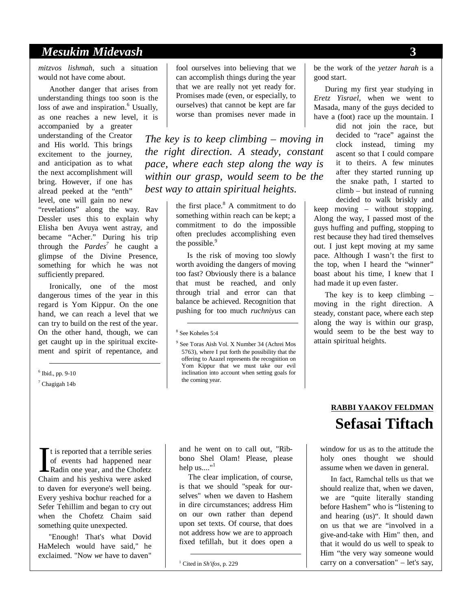## *Mesukim Midevash* **3**

*mitzvos lishmah*, such a situation would not have come about.

Another danger that arises from understanding things too soon is the loss of awe and inspiration.<sup>6</sup> Usually, as one reaches a new level, it is

accompanied by a greater understanding of the Creator and His world. This brings excitement to the journey, and anticipation as to what the next accomplishment will bring. However, if one has alread peeked at the "enth" level, one will gain no new

"revelations" along the way. Rav Dessler uses this to explain why Elisha ben Avuya went astray, and became "Acher." During his trip through the *Pardes7* he caught a glimpse of the Divine Presence, something for which he was not sufficiently prepared.

Ironically, one of the most dangerous times of the year in this regard is Yom Kippur. On the one hand, we can reach a level that we can try to build on the rest of the year. On the other hand, though, we can get caught up in the spiritual excitement and spirit of repentance, and

6 Ibid., pp. 9-10

7 Chagigah 14b

fool ourselves into believing that we can accomplish things during the year that we are really not yet ready for. Promises made (even, or especially, to ourselves) that cannot be kept are far worse than promises never made in

*The key is to keep climbing – moving in the right direction. A steady, constant pace, where each step along the way is within our grasp, would seem to be the best way to attain spiritual heights.* 

> the first place.<sup>8</sup> A commitment to do something within reach can be kept; a commitment to do the impossible often precludes accomplishing even the possible.<sup>9</sup>

> Is the risk of moving too slowly worth avoiding the dangers of moving too fast? Obviously there is a balance that must be reached, and only through trial and error can that balance be achieved. Recognition that pushing for too much *ruchniyus* can

 $\blacksquare$  t is reported that a terrible series of events had happened near Radin one year, and the Chofetz Chaim and his yeshiva were asked to daven for everyone's well being. Every yeshiva bochur reached for a Sefer Tehillim and began to cry out when the Chofetz Chaim said something quite unexpected.  $\prod$ <sup>Cha</sup>

"Enough! That's what Dovid HaMelech would have said," he exclaimed. "Now *we* have to daven"

and he went on to call out, "Ribbono Shel Olam! Please, please help us...."<sup>1</sup>

 The clear implication, of course, is that we should "speak for ourselves" when we daven to Hashem in dire circumstances; address Him on our own rather than depend upon set texts. Of course, that does not address how we are to approach fixed tefillah, but it does open a

1 Cited in *Sh'ifos*, p. 229

be the work of the *yetzer harah* is a good start.

During my first year studying in *Eretz Yisrael*, when we went to Masada, many of the guys decided to have a (foot) race up the mountain. I

> did not join the race, but decided to "race" against the clock instead, timing my ascent so that I could compare it to theirs. A few minutes after they started running up the snake path, I started to climb – but instead of running decided to walk briskly and

keep moving – without stopping. Along the way, I passed most of the guys huffing and puffing, stopping to rest because they had tired themselves out. I just kept moving at my same pace. Although I wasn't the first to the top, when I heard the "winner" boast about his time, I knew that I had made it up even faster.

The key is to keep climbing  $$ moving in the right direction. A steady, constant pace, where each step along the way is within our grasp, would seem to be the best way to attain spiritual heights.

## **RABBI YAAKOV FELDMAN Sefasai Tiftach**

window for us as to the attitude the holy ones thought we should assume when we daven in general.

In fact, Ramchal tells us that we should realize that, when we daven, we are "quite literally standing before Hashem" who is "listening to and hearing (us)". It should dawn on us that we are "involved in a give-and-take with Him" then, and that it would do us well to speak to Him "the very way someone would carry on a conversation" – let's say,

 <sup>8</sup> See Koheles 5:4

<sup>9</sup> See Toras Aish Vol. X Number 34 (Achrei Mos 5763), where I put forth the possibility that the offering to Azazel represents the recognition on Yom Kippur that we must take our evil inclination into account when setting goals for the coming year.